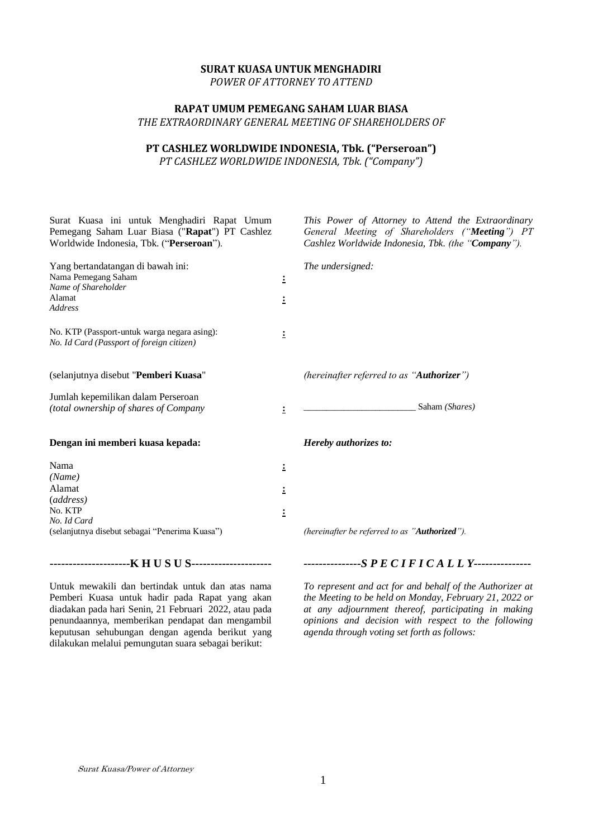### **SURAT KUASA UNTUK MENGHADIRI**

*POWER OF ATTORNEY TO ATTEND*

## **RAPAT UMUM PEMEGANG SAHAM LUAR BIASA** *THE EXTRAORDINARY GENERAL MEETING OF SHAREHOLDERS OF*

# **PT CASHLEZ WORLDWIDE INDONESIA, Tbk. ("Perseroan")**

*PT CASHLEZ WORLDWIDE INDONESIA, Tbk. ("Company")*

| Surat Kuasa ini untuk Menghadiri Rapat Umum<br>Pemegang Saham Luar Biasa ("Rapat") PT Cashlez<br>Worldwide Indonesia, Tbk. ("Perseroan").                                                          |                | This Power of Attorney to Attend the Extraordinary<br>General Meeting of Shareholders ("Meeting") PT<br>Cashlez Worldwide Indonesia, Tbk. (the "Company").                                  |
|----------------------------------------------------------------------------------------------------------------------------------------------------------------------------------------------------|----------------|---------------------------------------------------------------------------------------------------------------------------------------------------------------------------------------------|
| Yang bertandatangan di bawah ini:                                                                                                                                                                  |                | The undersigned:                                                                                                                                                                            |
| Nama Pemegang Saham                                                                                                                                                                                | 1              |                                                                                                                                                                                             |
| Name of Shareholder                                                                                                                                                                                |                |                                                                                                                                                                                             |
| Alamat<br><b>Address</b>                                                                                                                                                                           | ÷              |                                                                                                                                                                                             |
| No. KTP (Passport-untuk warga negara asing):<br>No. Id Card (Passport of foreign citizen)                                                                                                          | 1              |                                                                                                                                                                                             |
| (selanjutnya disebut "Pemberi Kuasa"                                                                                                                                                               |                | (hereinafter referred to as "Authorizer")                                                                                                                                                   |
| Jumlah kepemilikan dalam Perseroan                                                                                                                                                                 |                |                                                                                                                                                                                             |
| (total ownership of shares of Company                                                                                                                                                              | $\ddot{ }$     | Saham (Shares)                                                                                                                                                                              |
| Dengan ini memberi kuasa kepada:                                                                                                                                                                   |                | Hereby authorizes to:                                                                                                                                                                       |
| Nama                                                                                                                                                                                               | 1              |                                                                                                                                                                                             |
| (Name)                                                                                                                                                                                             |                |                                                                                                                                                                                             |
| Alamat                                                                                                                                                                                             | 1              |                                                                                                                                                                                             |
| (address)                                                                                                                                                                                          |                |                                                                                                                                                                                             |
| No. KTP                                                                                                                                                                                            | $\ddot{\cdot}$ |                                                                                                                                                                                             |
| No. Id Card<br>(selanjutnya disebut sebagai "Penerima Kuasa")                                                                                                                                      |                | (hereinafter be referred to as "Authorized").                                                                                                                                               |
|                                                                                                                                                                                                    |                |                                                                                                                                                                                             |
|                                                                                                                                                                                                    |                | ---------------SPECIFICALLY---------------                                                                                                                                                  |
| Untuk mewakili dan bertindak untuk dan atas nama<br>Pemberi Kuasa untuk hadir pada Rapat yang akan<br>$1'$ 11 $1'$ 11 $1'$ 01 $\overline{1}$ 1 $1'$ 01 $\overline{1}$ 1 $1'$ 0000 $\overline{1}$ 1 |                | To represent and act for and behalf of the Authorizer at<br>the Meeting to be held on Monday, February 21, 2022 or<br>$\mathbf{r}$ , and $\mathbf{r}$ , and $\mathbf{r}$ , and $\mathbf{r}$ |

diadakan pada hari Senin, 21 Februari 2022, atau pada penundaannya, memberikan pendapat dan mengambil keputusan sehubungan dengan agenda berikut yang dilakukan melalui pemungutan suara sebagai berikut:

*at any adjournment thereof, participating in making opinions and decision with respect to the following agenda through voting set forth as follows:*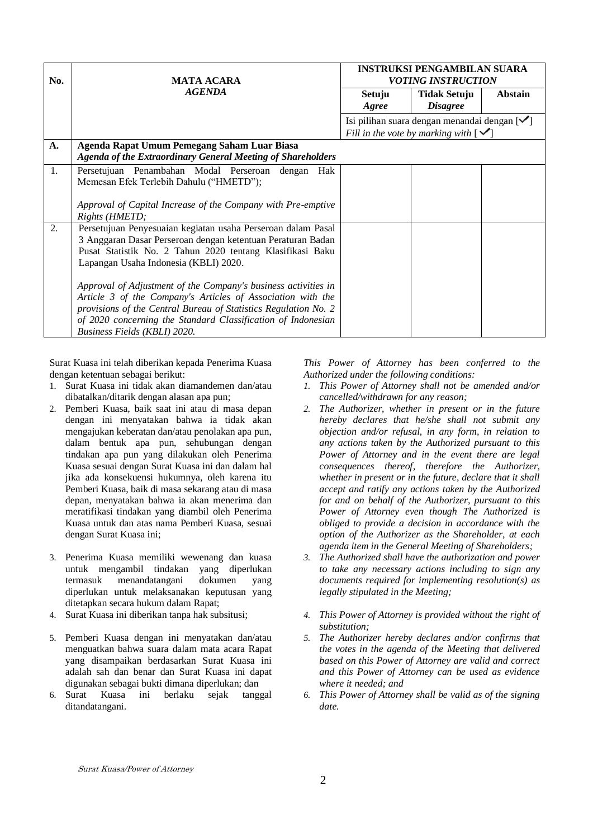| No. | <b>MATA ACARA</b>                                                                                                                                                                                                                                                                                                                                                                                                                                                                                                                     | <b>INSTRUKSI PENGAMBILAN SUARA</b><br><i>VOTING INSTRUCTION</i>                                            |                                        |         |  |
|-----|---------------------------------------------------------------------------------------------------------------------------------------------------------------------------------------------------------------------------------------------------------------------------------------------------------------------------------------------------------------------------------------------------------------------------------------------------------------------------------------------------------------------------------------|------------------------------------------------------------------------------------------------------------|----------------------------------------|---------|--|
|     | <b>AGENDA</b>                                                                                                                                                                                                                                                                                                                                                                                                                                                                                                                         | Setuju<br>Agree                                                                                            | <b>Tidak Setuju</b><br><b>Disagree</b> | Abstain |  |
|     |                                                                                                                                                                                                                                                                                                                                                                                                                                                                                                                                       | Isi pilihan suara dengan menandai dengan $[\checkmark]$<br>Fill in the vote by marking with $[\checkmark]$ |                                        |         |  |
| A.  | Agenda Rapat Umum Pemegang Saham Luar Biasa<br><b>Agenda of the Extraordinary General Meeting of Shareholders</b>                                                                                                                                                                                                                                                                                                                                                                                                                     |                                                                                                            |                                        |         |  |
| 1.  | Persetujuan Penambahan Modal Perseroan dengan<br>Hak<br>Memesan Efek Terlebih Dahulu ("HMETD");<br>Approval of Capital Increase of the Company with Pre-emptive<br>Rights (HMETD;                                                                                                                                                                                                                                                                                                                                                     |                                                                                                            |                                        |         |  |
| 2.  | Persetujuan Penyesuaian kegiatan usaha Perseroan dalam Pasal<br>3 Anggaran Dasar Perseroan dengan ketentuan Peraturan Badan<br>Pusat Statistik No. 2 Tahun 2020 tentang Klasifikasi Baku<br>Lapangan Usaha Indonesia (KBLI) 2020.<br>Approval of Adjustment of the Company's business activities in<br>Article 3 of the Company's Articles of Association with the<br>provisions of the Central Bureau of Statistics Regulation No. 2<br>of 2020 concerning the Standard Classification of Indonesian<br>Business Fields (KBLI) 2020. |                                                                                                            |                                        |         |  |

Surat Kuasa ini telah diberikan kepada Penerima Kuasa dengan ketentuan sebagai berikut:

- 1. Surat Kuasa ini tidak akan diamandemen dan/atau dibatalkan/ditarik dengan alasan apa pun;
- 2. Pemberi Kuasa, baik saat ini atau di masa depan dengan ini menyatakan bahwa ia tidak akan mengajukan keberatan dan/atau penolakan apa pun, dalam bentuk apa pun, sehubungan dengan tindakan apa pun yang dilakukan oleh Penerima Kuasa sesuai dengan Surat Kuasa ini dan dalam hal jika ada konsekuensi hukumnya, oleh karena itu Pemberi Kuasa, baik di masa sekarang atau di masa depan, menyatakan bahwa ia akan menerima dan meratifikasi tindakan yang diambil oleh Penerima Kuasa untuk dan atas nama Pemberi Kuasa, sesuai dengan Surat Kuasa ini;
- 3. Penerima Kuasa memiliki wewenang dan kuasa untuk mengambil tindakan yang diperlukan termasuk menandatangani dokumen yang diperlukan untuk melaksanakan keputusan yang ditetapkan secara hukum dalam Rapat;
- 4. Surat Kuasa ini diberikan tanpa hak subsitusi;
- 5. Pemberi Kuasa dengan ini menyatakan dan/atau menguatkan bahwa suara dalam mata acara Rapat yang disampaikan berdasarkan Surat Kuasa ini adalah sah dan benar dan Surat Kuasa ini dapat digunakan sebagai bukti dimana diperlukan; dan
- 6. Surat Kuasa ini berlaku sejak tanggal ditandatangani.

*This Power of Attorney has been conferred to the Authorized under the following conditions:*

- *1. This Power of Attorney shall not be amended and/or cancelled/withdrawn for any reason;*
- *2. The Authorizer, whether in present or in the future hereby declares that he/she shall not submit any objection and/or refusal, in any form, in relation to any actions taken by the Authorized pursuant to this Power of Attorney and in the event there are legal consequences thereof, therefore the Authorizer, whether in present or in the future, declare that it shall accept and ratify any actions taken by the Authorized for and on behalf of the Authorizer, pursuant to this Power of Attorney even though The Authorized is obliged to provide a decision in accordance with the option of the Authorizer as the Shareholder, at each agenda item in the General Meeting of Shareholders;*
- *3. The Authorized shall have the authorization and power to take any necessary actions including to sign any documents required for implementing resolution(s) as legally stipulated in the Meeting;*
- *4. This Power of Attorney is provided without the right of substitution;*
- *5. The Authorizer hereby declares and/or confirms that the votes in the agenda of the Meeting that delivered based on this Power of Attorney are valid and correct and this Power of Attorney can be used as evidence where it needed; and*
- *6. This Power of Attorney shall be valid as of the signing date.*